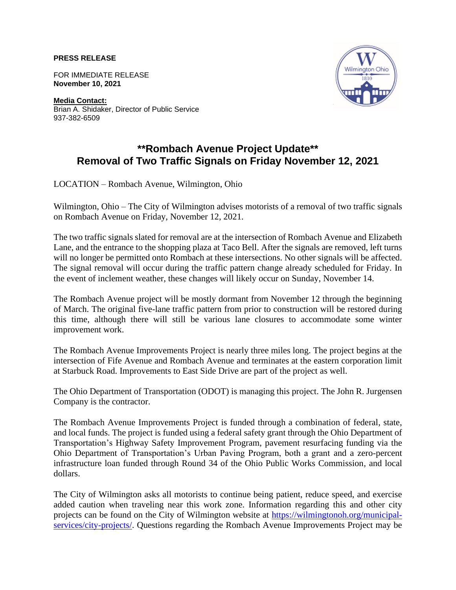**PRESS RELEASE**

FOR IMMEDIATE RELEASE **November 10, 2021**

**Media Contact:** Brian A. Shidaker, Director of Public Service 937-382-6509



## **\*\*Rombach Avenue Project Update\*\* Removal of Two Traffic Signals on Friday November 12, 2021**

LOCATION – Rombach Avenue, Wilmington, Ohio

Wilmington, Ohio – The City of Wilmington advises motorists of a removal of two traffic signals on Rombach Avenue on Friday, November 12, 2021.

The two traffic signals slated for removal are at the intersection of Rombach Avenue and Elizabeth Lane, and the entrance to the shopping plaza at Taco Bell. After the signals are removed, left turns will no longer be permitted onto Rombach at these intersections. No other signals will be affected. The signal removal will occur during the traffic pattern change already scheduled for Friday. In the event of inclement weather, these changes will likely occur on Sunday, November 14.

The Rombach Avenue project will be mostly dormant from November 12 through the beginning of March. The original five-lane traffic pattern from prior to construction will be restored during this time, although there will still be various lane closures to accommodate some winter improvement work.

The Rombach Avenue Improvements Project is nearly three miles long. The project begins at the intersection of Fife Avenue and Rombach Avenue and terminates at the eastern corporation limit at Starbuck Road. Improvements to East Side Drive are part of the project as well.

The Ohio Department of Transportation (ODOT) is managing this project. The John R. Jurgensen Company is the contractor.

The Rombach Avenue Improvements Project is funded through a combination of federal, state, and local funds. The project is funded using a federal safety grant through the Ohio Department of Transportation's Highway Safety Improvement Program, pavement resurfacing funding via the Ohio Department of Transportation's Urban Paving Program, both a grant and a zero-percent infrastructure loan funded through Round 34 of the Ohio Public Works Commission, and local dollars.

The City of Wilmington asks all motorists to continue being patient, reduce speed, and exercise added caution when traveling near this work zone. Information regarding this and other city projects can be found on the City of Wilmington website at [https://wilmingtonoh.org/municipal](https://wilmingtonoh.org/municipal-services/city-projects/)[services/city-projects/.](https://wilmingtonoh.org/municipal-services/city-projects/) Questions regarding the Rombach Avenue Improvements Project may be